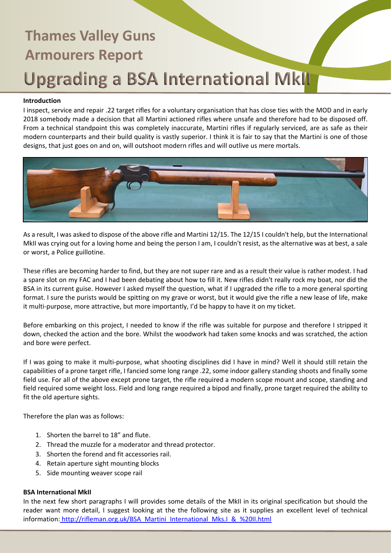### **Introduction**

I inspect, service and repair .22 target rifles for a voluntary organisation that has close ties with the MOD and in early 2018 somebody made a decision that all Martini actioned rifles where unsafe and therefore had to be disposed off. From a technical standpoint this was completely inaccurate, Martini rifles if regularly serviced, are as safe as their modern counterparts and their build quality is vastly superior. I think it is fair to say that the Martini is one of those designs, that just goes on and on, will outshoot modern rifles and will outlive us mere mortals.



As a result, I was asked to dispose of the above rifle and Martini 12/15. The 12/15 I couldn't help, but the International MkII was crying out for a loving home and being the person I am, I couldn't resist, as the alternative was at best, a sale or worst, a Police guillotine.

These rifles are becoming harder to find, but they are not super rare and as a result their value is rather modest. I had a spare slot on my FAC and I had been debating about how to fill it. New rifles didn't really rock my boat, nor did the BSA in its current guise. However I asked myself the question, what if I upgraded the rifle to a more general sporting format. I sure the purists would be spitting on my grave or worst, but it would give the rifle a new lease of life, make it multi-purpose, more attractive, but more importantly, I'd be happy to have it on my ticket.

Before embarking on this project, I needed to know if the rifle was suitable for purpose and therefore I stripped it down, checked the action and the bore. Whilst the woodwork had taken some knocks and was scratched, the action and bore were perfect.

If I was going to make it multi-purpose, what shooting disciplines did I have in mind? Well it should still retain the capabilities of a prone target rifle, I fancied some long range .22, some indoor gallery standing shoots and finally some field use. For all of the above except prone target, the rifle required a modern scope mount and scope, standing and field required some weight loss. Field and long range required a bipod and finally, prone target required the ability to fit the old aperture sights.

Therefore the plan was as follows:

- 1. Shorten the barrel to 18" and flute.
- 2. Thread the muzzle for a moderator and thread protector.
- 3. Shorten the forend and fit accessories rail.
- 4. Retain aperture sight mounting blocks
- 5. Side mounting weaver scope rail

#### **BSA International MkII**

In the next few short paragraphs I will provides some details of the MkII in its original specification but should the reader want more detail, I suggest looking at the the following site as it supplies an excellent level of technical information: [http://rifleman.org.uk/BSA\\_Martini\\_International\\_Mks.I\\_&\\_%20II.html](http://rifleman.org.uk/BSA_Martini_International_Mks.I_&_%20II.html)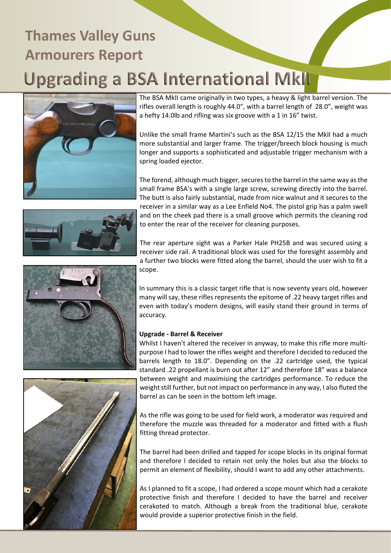

The BSA MkII came originally in two types, a heavy & light barrel version. The rifles overall length is roughly 44.0", with a barrel length of 28.0", weight was a hefty 14.0lb and rifling was six groove with a 1 in 16" twist.

Unlike the small frame Martini's such as the BSA 12/15 the MkII had a much more substantial and larger frame. The trigger/breech block housing is much longer and supports a sophisticated and adjustable trigger mechanism with a spring loaded ejector.

The forend, although much bigger, secures to the barrel in the same way as the small frame BSA's with a single large screw, screwing directly into the barrel. The butt is also fairly substantial, made from nice walnut and it secures to the receiver in a similar way as a Lee Enfield No4. The pistol grip has a palm swell and on the cheek pad there is a small groove which permits the cleaning rod to enter the rear of the receiver for cleaning purposes.

The rear aperture sight was a Parker Hale PH25B and was secured using a receiver side rail. A traditional block was used for the foresight assembly and a further two blocks were fitted along the barrel, should the user wish to fit a scope.

In summary this is a classic target rifle that is now seventy years old, however many will say, these rifles represents the epitome of .22 heavy target rifles and even with today's modern designs, will easily stand their ground in terms of accuracy.

### **Upgrade - Barrel & Receiver**

Whilst I haven't altered the receiver in anyway, to make this rifle more multipurpose I had to lower the rifles weight and therefore I decided to reduced the barrels length to 18.0". Depending on the .22 cartridge used, the typical standard .22 propellant is burn out after 12" and therefore 18" was a balance between weight and maximising the cartridges performance. To reduce the weight still further, but not impact on performance in any way, I also fluted the barrel as can be seen in the bottom left image.

As the rifle was going to be used for field work, a moderator was required and therefore the muzzle was threaded for a moderator and fitted with a flush fitting thread protector.

The barrel had been drilled and tapped for scope blocks in its original format and therefore I decided to retain not only the holes but also the blocks to permit an element of flexibility, should I want to add any other attachments.

As I planned to fit a scope, I had ordered a scope mount which had a cerakote protective finish and therefore I decided to have the barrel and receiver cerakoted to match. Although a break from the traditional blue, cerakote would provide a superior protective finish in the field.





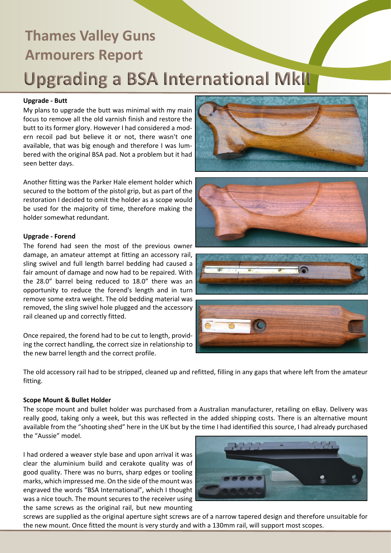### **Upgrade - Butt**

My plans to upgrade the butt was minimal with my main focus to remove all the old varnish finish and restore the butt to its former glory. However I had considered a modern recoil pad but believe it or not, there wasn't one available, that was big enough and therefore I was lumbered with the original BSA pad. Not a problem but it had seen better days.

Another fitting was the Parker Hale element holder which secured to the bottom of the pistol grip, but as part of the restoration I decided to omit the holder as a scope would be used for the majority of time, therefore making the holder somewhat redundant.

### **Upgrade - Forend**

The forend had seen the most of the previous owner damage, an amateur attempt at fitting an accessory rail, sling swivel and full length barrel bedding had caused a fair amount of damage and now had to be repaired. With the 28.0" barrel being reduced to 18.0" there was an opportunity to reduce the forend's length and in turn remove some extra weight. The old bedding material was removed, the sling swivel hole plugged and the accessory rail cleaned up and correctly fitted.

Once repaired, the forend had to be cut to length, providing the correct handling, the correct size in relationship to the new barrel length and the correct profile.

The old accessory rail had to be stripped, cleaned up and refitted, filling in any gaps that where left from the amateur fitting.

#### **Scope Mount & Bullet Holder**

The scope mount and bullet holder was purchased from a Australian manufacturer, retailing on eBay. Delivery was really good, taking only a week, but this was reflected in the added shipping costs. There is an alternative mount available from the "shooting shed" here in the UK but by the time I had identified this source, I had already purchased the "Aussie" model.

I had ordered a weaver style base and upon arrival it was clear the aluminium build and cerakote quality was of good quality. There was no burrs, sharp edges or tooling marks, which impressed me. On the side of the mount was engraved the words "BSA International", which I thought was a nice touch. The mount secures to the receiver using the same screws as the original rail, but new mounting

screws are supplied as the original aperture sight screws are of a narrow tapered design and therefore unsuitable for the new mount. Once fitted the mount is very sturdy and with a 130mm rail, will support most scopes.









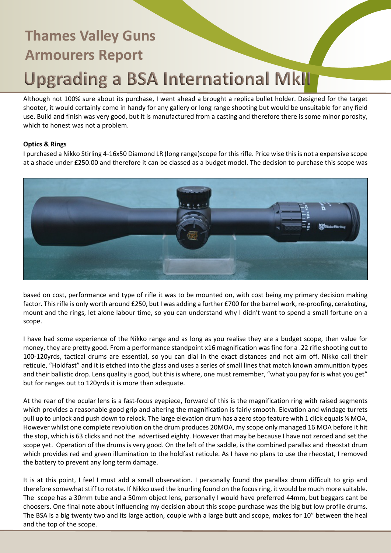Although not 100% sure about its purchase, I went ahead a brought a replica bullet holder. Designed for the target shooter, it would certainly come in handy for any gallery or long range shooting but would be unsuitable for any field use. Build and finish was very good, but it is manufactured from a casting and therefore there is some minor porosity, which to honest was not a problem.

### **Optics & Rings**

I purchased a Nikko Stirling 4-16x50 Diamond LR (long range)scope for this rifle. Price wise this is not a expensive scope at a shade under £250.00 and therefore it can be classed as a budget model. The decision to purchase this scope was



based on cost, performance and type of rifle it was to be mounted on, with cost being my primary decision making factor. This rifle is only worth around £250, but I was adding a further £700 for the barrel work, re-proofing, cerakoting, mount and the rings, let alone labour time, so you can understand why I didn't want to spend a small fortune on a scope.

I have had some experience of the Nikko range and as long as you realise they are a budget scope, then value for money, they are pretty good. From a performance standpoint x16 magnification was fine for a .22 rifle shooting out to 100-120yrds, tactical drums are essential, so you can dial in the exact distances and not aim off. Nikko call their reticule, "Holdfast" and it is etched into the glass and uses a series of small lines that match known ammunition types and their ballistic drop. Lens quality is good, but this is where, one must remember, "what you pay for is what you get" but for ranges out to 120yrds it is more than adequate.

At the rear of the ocular lens is a fast-focus eyepiece, forward of this is the magnification ring with raised segments which provides a reasonable good grip and altering the magnification is fairly smooth. Elevation and windage turrets pull up to unlock and push down to relock. The large elevation drum has a zero stop feature with 1 click equals ¼ MOA, However whilst one complete revolution on the drum produces 20MOA, my scope only managed 16 MOA before it hit the stop, which is 63 clicks and not the advertised eighty. However that may be because I have not zeroed and set the scope yet. Operation of the drums is very good. On the left of the saddle, is the combined parallax and rheostat drum which provides red and green illumination to the holdfast reticule. As I have no plans to use the rheostat, I removed the battery to prevent any long term damage.

It is at this point, I feel I must add a small observation. I personally found the parallax drum difficult to grip and therefore somewhat stiff to rotate. If Nikko used the knurling found on the focus ring, it would be much more suitable. The scope has a 30mm tube and a 50mm object lens, personally I would have preferred 44mm, but beggars cant be choosers. One final note about influencing my decision about this scope purchase was the big but low profile drums. The BSA is a big twenty two and its large action, couple with a large butt and scope, makes for 10" between the heal and the top of the scope.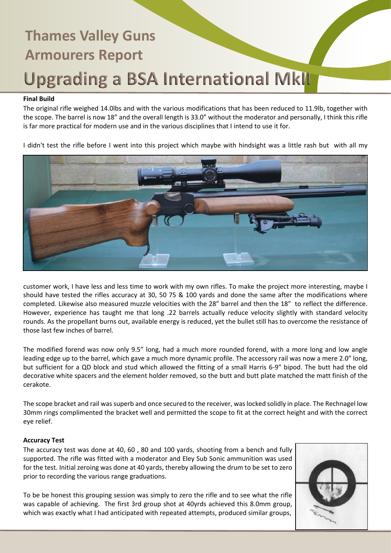#### **Final Build**

The original rifle weighed 14.0lbs and with the various modifications that has been reduced to 11.9lb, together with the scope. The barrel is now 18" and the overall length is 33.0" without the moderator and personally, I think this rifle is far more practical for modern use and in the various disciplines that I intend to use it for.

I didn't test the rifle before I went into this project which maybe with hindsight was a little rash but with all my



customer work, I have less and less time to work with my own rifles. To make the project more interesting, maybe I should have tested the rifles accuracy at 30, 50 75 & 100 yards and done the same after the modifications where completed. Likewise also measured muzzle velocities with the 28" barrel and then the 18" to reflect the difference. However, experience has taught me that long .22 barrels actually reduce velocity slightly with standard velocity rounds. As the propellant burns out, available energy is reduced, yet the bullet still has to overcome the resistance of those last few inches of barrel.

The modified forend was now only 9.5" long, had a much more rounded forend, with a more long and low angle leading edge up to the barrel, which gave a much more dynamic profile. The accessory rail was now a mere 2.0" long, but sufficient for a QD block and stud which allowed the fitting of a small Harris 6-9" bipod. The butt had the old decorative white spacers and the element holder removed, so the butt and butt plate matched the matt finish of the cerakote.

The scope bracket and rail was superb and once secured to the receiver, was locked solidly in place. The Rechnagel low 30mm rings complimented the bracket well and permitted the scope to fit at the correct height and with the correct eye relief.

#### **Accuracy Test**

The accuracy test was done at 40, 60 , 80 and 100 yards, shooting from a bench and fully supported. The rifle was fitted with a moderator and Eley Sub Sonic ammunition was used for the test. Initial zeroing was done at 40 yards, thereby allowing the drum to be set to zero prior to recording the various range graduations.

To be be honest this grouping session was simply to zero the rifle and to see what the rifle was capable of achieving. The first 3rd group shot at 40yrds achieved this 8.0mm group, which was exactly what I had anticipated with repeated attempts, produced similar groups,